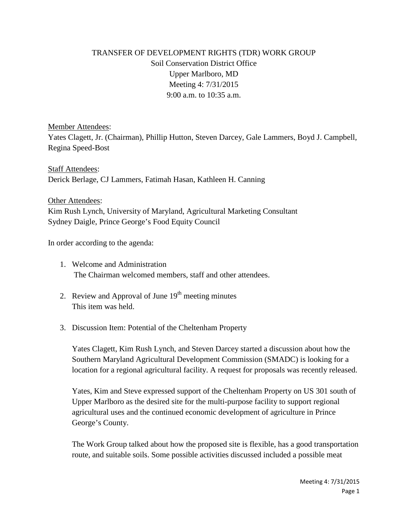## TRANSFER OF DEVELOPMENT RIGHTS (TDR) WORK GROUP Soil Conservation District Office Upper Marlboro, MD Meeting 4: 7/31/2015 9:00 a.m. to 10:35 a.m.

Member Attendees:

Yates Clagett, Jr. (Chairman), Phillip Hutton, Steven Darcey, Gale Lammers, Boyd J. Campbell, Regina Speed-Bost

Staff Attendees: Derick Berlage, CJ Lammers, Fatimah Hasan, Kathleen H. Canning

Other Attendees: Kim Rush Lynch, University of Maryland, Agricultural Marketing Consultant Sydney Daigle, Prince George's Food Equity Council

In order according to the agenda:

- 1. Welcome and Administration The Chairman welcomed members, staff and other attendees.
- 2. Review and Approval of June  $19<sup>th</sup>$  meeting minutes This item was held.
- 3. Discussion Item: Potential of the Cheltenham Property

Yates Clagett, Kim Rush Lynch, and Steven Darcey started a discussion about how the Southern Maryland Agricultural Development Commission (SMADC) is looking for a location for a regional agricultural facility. A request for proposals was recently released.

Yates, Kim and Steve expressed support of the Cheltenham Property on US 301 south of Upper Marlboro as the desired site for the multi-purpose facility to support regional agricultural uses and the continued economic development of agriculture in Prince George's County.

The Work Group talked about how the proposed site is flexible, has a good transportation route, and suitable soils. Some possible activities discussed included a possible meat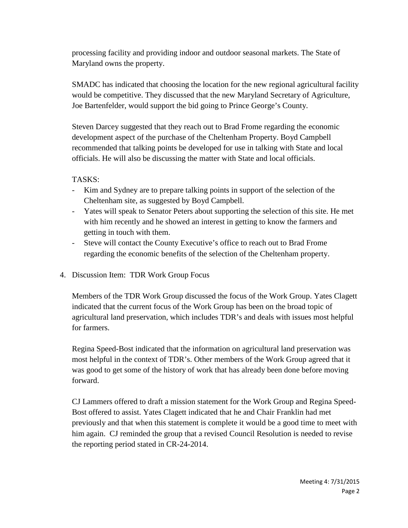processing facility and providing indoor and outdoor seasonal markets. The State of Maryland owns the property.

SMADC has indicated that choosing the location for the new regional agricultural facility would be competitive. They discussed that the new Maryland Secretary of Agriculture, Joe Bartenfelder, would support the bid going to Prince George's County.

Steven Darcey suggested that they reach out to Brad Frome regarding the economic development aspect of the purchase of the Cheltenham Property. Boyd Campbell recommended that talking points be developed for use in talking with State and local officials. He will also be discussing the matter with State and local officials.

TASKS:

- Kim and Sydney are to prepare talking points in support of the selection of the Cheltenham site, as suggested by Boyd Campbell.
- Yates will speak to Senator Peters about supporting the selection of this site. He met with him recently and he showed an interest in getting to know the farmers and getting in touch with them.
- Steve will contact the County Executive's office to reach out to Brad Frome regarding the economic benefits of the selection of the Cheltenham property.
- 4. Discussion Item: TDR Work Group Focus

Members of the TDR Work Group discussed the focus of the Work Group. Yates Clagett indicated that the current focus of the Work Group has been on the broad topic of agricultural land preservation, which includes TDR's and deals with issues most helpful for farmers.

Regina Speed-Bost indicated that the information on agricultural land preservation was most helpful in the context of TDR's. Other members of the Work Group agreed that it was good to get some of the history of work that has already been done before moving forward.

CJ Lammers offered to draft a mission statement for the Work Group and Regina Speed-Bost offered to assist. Yates Clagett indicated that he and Chair Franklin had met previously and that when this statement is complete it would be a good time to meet with him again. CJ reminded the group that a revised Council Resolution is needed to revise the reporting period stated in CR-24-2014.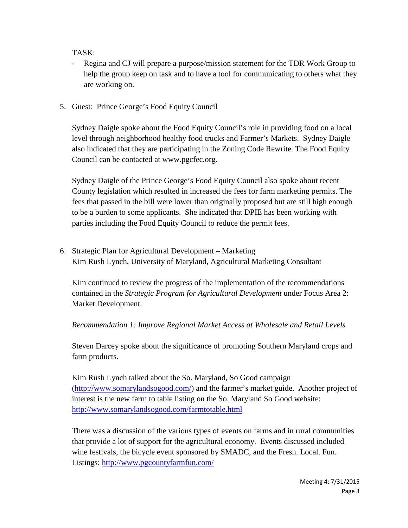TASK:

- Regina and CJ will prepare a purpose/mission statement for the TDR Work Group to help the group keep on task and to have a tool for communicating to others what they are working on.
- 5. Guest: Prince George's Food Equity Council

Sydney Daigle spoke about the Food Equity Council's role in providing food on a local level through neighborhood healthy food trucks and Farmer's Markets. Sydney Daigle also indicated that they are participating in the Zoning Code Rewrite. The Food Equity Council can be contacted at [www.pgcfec.org.](http://www.pgcfec.org/)

Sydney Daigle of the Prince George's Food Equity Council also spoke about recent County legislation which resulted in increased the fees for farm marketing permits. The fees that passed in the bill were lower than originally proposed but are still high enough to be a burden to some applicants. She indicated that DPIE has been working with parties including the Food Equity Council to reduce the permit fees.

6. Strategic Plan for Agricultural Development – Marketing Kim Rush Lynch, University of Maryland, Agricultural Marketing Consultant

Kim continued to review the progress of the implementation of the recommendations contained in the *Strategic Program for Agricultural Development* under Focus Area 2: Market Development.

*Recommendation 1: Improve Regional Market Access at Wholesale and Retail Levels*

Steven Darcey spoke about the significance of promoting Southern Maryland crops and farm products.

Kim Rush Lynch talked about the So. Maryland, So Good campaign [\(http://www.somarylandsogood.com/\)](http://www.somarylandsogood.com/) and the farmer's market guide. Another project of interest is the new farm to table listing on the So. Maryland So Good website: <http://www.somarylandsogood.com/farmtotable.html>

There was a discussion of the various types of events on farms and in rural communities that provide a lot of support for the agricultural economy. Events discussed included wine festivals, the bicycle event sponsored by SMADC, and the Fresh. Local. Fun. Listings: <http://www.pgcountyfarmfun.com/>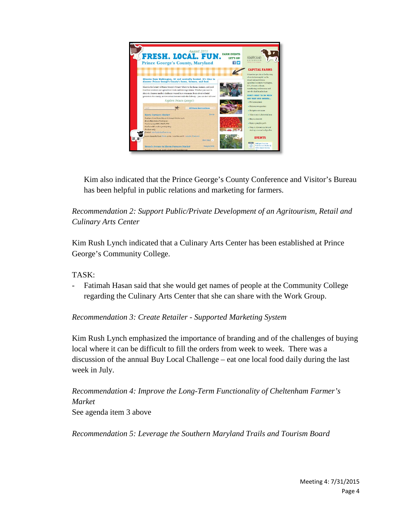

Kim also indicated that the Prince George's County Conference and Visitor's Bureau has been helpful in public relations and marketing for farmers.

*Recommendation 2: Support Public/Private Development of an Agritourism, Retail and Culinary Arts Center* 

Kim Rush Lynch indicated that a Culinary Arts Center has been established at Prince George's Community College.

TASK:

Fatimah Hasan said that she would get names of people at the Community College regarding the Culinary Arts Center that she can share with the Work Group.

*Recommendation 3: Create Retailer - Supported Marketing System*

Kim Rush Lynch emphasized the importance of branding and of the challenges of buying local where it can be difficult to fill the orders from week to week. There was a discussion of the annual Buy Local Challenge – eat one local food daily during the last week in July.

*Recommendation 4: Improve the Long-Term Functionality of Cheltenham Farmer's Market* See agenda item 3 above

*Recommendation 5: Leverage the Southern Maryland Trails and Tourism Board*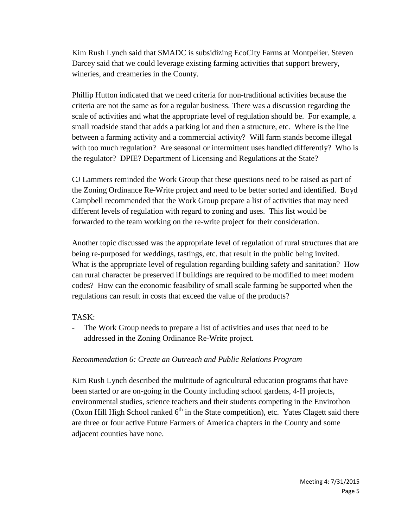Kim Rush Lynch said that SMADC is subsidizing EcoCity Farms at Montpelier. Steven Darcey said that we could leverage existing farming activities that support brewery, wineries, and creameries in the County.

Phillip Hutton indicated that we need criteria for non-traditional activities because the criteria are not the same as for a regular business. There was a discussion regarding the scale of activities and what the appropriate level of regulation should be. For example, a small roadside stand that adds a parking lot and then a structure, etc. Where is the line between a farming activity and a commercial activity? Will farm stands become illegal with too much regulation? Are seasonal or intermittent uses handled differently? Who is the regulator? DPIE? Department of Licensing and Regulations at the State?

CJ Lammers reminded the Work Group that these questions need to be raised as part of the Zoning Ordinance Re-Write project and need to be better sorted and identified. Boyd Campbell recommended that the Work Group prepare a list of activities that may need different levels of regulation with regard to zoning and uses. This list would be forwarded to the team working on the re-write project for their consideration.

Another topic discussed was the appropriate level of regulation of rural structures that are being re-purposed for weddings, tastings, etc. that result in the public being invited. What is the appropriate level of regulation regarding building safety and sanitation? How can rural character be preserved if buildings are required to be modified to meet modern codes? How can the economic feasibility of small scale farming be supported when the regulations can result in costs that exceed the value of the products?

## TASK:

The Work Group needs to prepare a list of activities and uses that need to be addressed in the Zoning Ordinance Re-Write project.

## *Recommendation 6: Create an Outreach and Public Relations Program*

Kim Rush Lynch described the multitude of agricultural education programs that have been started or are on-going in the County including school gardens, 4-H projects, environmental studies, science teachers and their students competing in the Envirothon (Oxon Hill High School ranked  $6<sup>th</sup>$  in the State competition), etc. Yates Clagett said there are three or four active Future Farmers of America chapters in the County and some adjacent counties have none.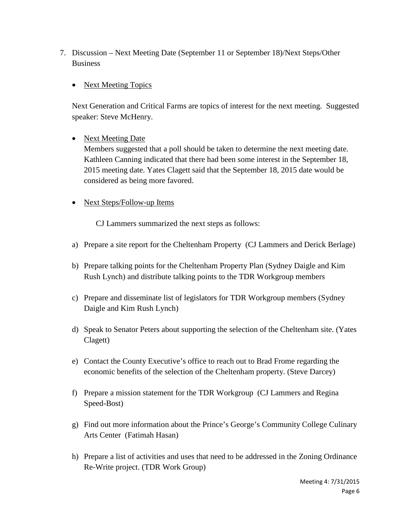- 7. Discussion Next Meeting Date (September 11 or September 18)/Next Steps/Other Business
	- Next Meeting Topics

Next Generation and Critical Farms are topics of interest for the next meeting. Suggested speaker: Steve McHenry.

• Next Meeting Date

Members suggested that a poll should be taken to determine the next meeting date. Kathleen Canning indicated that there had been some interest in the September 18, 2015 meeting date. Yates Clagett said that the September 18, 2015 date would be considered as being more favored.

• Next Steps/Follow-up Items

CJ Lammers summarized the next steps as follows:

- a) Prepare a site report for the Cheltenham Property (CJ Lammers and Derick Berlage)
- b) Prepare talking points for the Cheltenham Property Plan (Sydney Daigle and Kim Rush Lynch) and distribute talking points to the TDR Workgroup members
- c) Prepare and disseminate list of legislators for TDR Workgroup members (Sydney Daigle and Kim Rush Lynch)
- d) Speak to Senator Peters about supporting the selection of the Cheltenham site. (Yates Clagett)
- e) Contact the County Executive's office to reach out to Brad Frome regarding the economic benefits of the selection of the Cheltenham property. (Steve Darcey)
- f) Prepare a mission statement for the TDR Workgroup (CJ Lammers and Regina Speed-Bost)
- g) Find out more information about the Prince's George's Community College Culinary Arts Center (Fatimah Hasan)
- h) Prepare a list of activities and uses that need to be addressed in the Zoning Ordinance Re-Write project. (TDR Work Group)